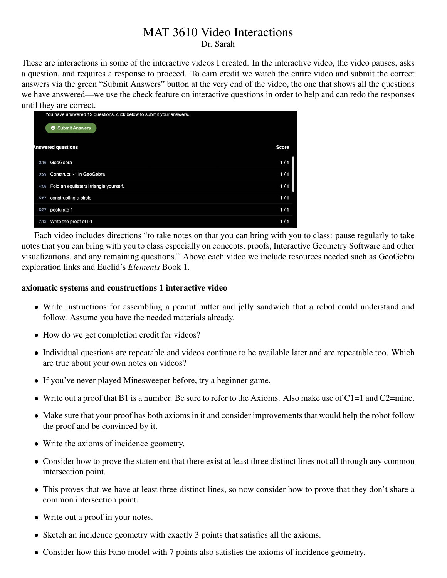# MAT 3610 Video Interactions

Dr. Sarah

These are interactions in some of the interactive videos I created. In the interactive video, the video pauses, asks a question, and requires a response to proceed. To earn credit we watch the entire video and submit the correct answers via the green "Submit Answers" button at the very end of the video, the one that shows all the questions we have answered—we use the check feature on interactive questions in order to help and can redo the responses until they are correct.

|      | $\mu$ and $\mu$ and correct.<br>You have answered 12 questions, click below to submit your answers. |              |
|------|-----------------------------------------------------------------------------------------------------|--------------|
|      | <b>Submit Answers</b><br>ø                                                                          |              |
|      | <b>Inswered questions</b>                                                                           | <b>Score</b> |
| 2:16 | GeoGebra                                                                                            | 1/1          |
| 3:23 | Construct I-1 in GeoGebra                                                                           | 1/1          |
| 4:58 | Fold an equilateral triangle yourself.                                                              | 1/1          |
| 5:57 | constructing a circle                                                                               | 1/1          |
| 6:37 | postulate 1                                                                                         | 1/1          |
| 7:12 | Write the proof of I-1                                                                              | 1/1          |

Each video includes directions "to take notes on that you can bring with you to class: pause regularly to take notes that you can bring with you to class especially on concepts, proofs, Interactive Geometry Software and other visualizations, and any remaining questions." Above each video we include resources needed such as GeoGebra exploration links and Euclid's *Elements* Book 1.

## axiomatic systems and constructions 1 interactive video

- Write instructions for assembling a peanut butter and jelly sandwich that a robot could understand and follow. Assume you have the needed materials already.
- How do we get completion credit for videos?
- Individual questions are repeatable and videos continue to be available later and are repeatable too. Which are true about your own notes on videos?
- If you've never played Minesweeper before, try a beginner game.
- Write out a proof that B1 is a number. Be sure to refer to the Axioms. Also make use of  $C1=1$  and  $C2=$ mine.
- Make sure that your proof has both axioms in it and consider improvements that would help the robot follow the proof and be convinced by it.
- Write the axioms of incidence geometry.
- Consider how to prove the statement that there exist at least three distinct lines not all through any common intersection point.
- This proves that we have at least three distinct lines, so now consider how to prove that they don't share a common intersection point.
- Write out a proof in your notes.
- Sketch an incidence geometry with exactly 3 points that satisfies all the axioms.
- Consider how this Fano model with 7 points also satisfies the axioms of incidence geometry.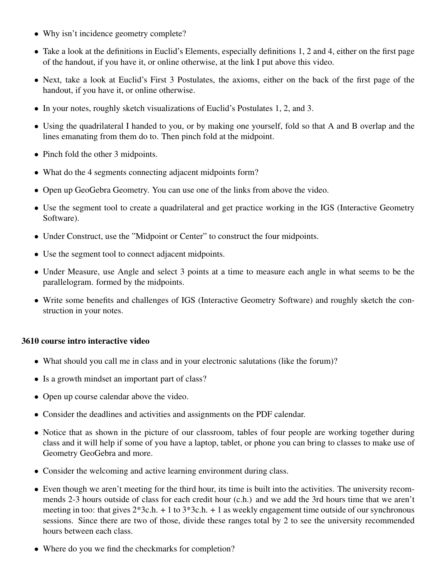- Why isn't incidence geometry complete?
- Take a look at the definitions in Euclid's Elements, especially definitions 1, 2 and 4, either on the first page of the handout, if you have it, or online otherwise, at the link I put above this video.
- Next, take a look at Euclid's First 3 Postulates, the axioms, either on the back of the first page of the handout, if you have it, or online otherwise.
- In your notes, roughly sketch visualizations of Euclid's Postulates 1, 2, and 3.
- Using the quadrilateral I handed to you, or by making one yourself, fold so that A and B overlap and the lines emanating from them do to. Then pinch fold at the midpoint.
- Pinch fold the other 3 midpoints.
- What do the 4 segments connecting adjacent midpoints form?
- Open up GeoGebra Geometry. You can use one of the links from above the video.
- Use the segment tool to create a quadrilateral and get practice working in the IGS (Interactive Geometry Software).
- Under Construct, use the "Midpoint or Center" to construct the four midpoints.
- Use the segment tool to connect adjacent midpoints.
- Under Measure, use Angle and select 3 points at a time to measure each angle in what seems to be the parallelogram. formed by the midpoints.
- Write some benefits and challenges of IGS (Interactive Geometry Software) and roughly sketch the construction in your notes.

## 3610 course intro interactive video

- What should you call me in class and in your electronic salutations (like the forum)?
- Is a growth mindset an important part of class?
- Open up course calendar above the video.
- Consider the deadlines and activities and assignments on the PDF calendar.
- Notice that as shown in the picture of our classroom, tables of four people are working together during class and it will help if some of you have a laptop, tablet, or phone you can bring to classes to make use of Geometry GeoGebra and more.
- Consider the welcoming and active learning environment during class.
- Even though we aren't meeting for the third hour, its time is built into the activities. The university recommends 2-3 hours outside of class for each credit hour (c.h.) and we add the 3rd hours time that we aren't meeting in too: that gives  $2*3c.h. + 1$  to  $3*3c.h. + 1$  as weekly engagement time outside of our synchronous sessions. Since there are two of those, divide these ranges total by 2 to see the university recommended hours between each class.
- Where do you we find the checkmarks for completion?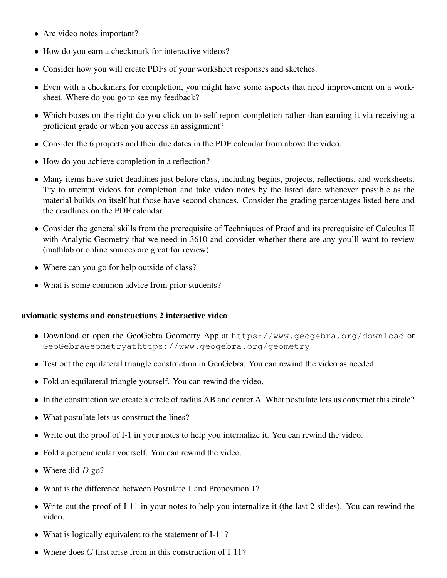- Are video notes important?
- How do you earn a checkmark for interactive videos?
- Consider how you will create PDFs of your worksheet responses and sketches.
- Even with a checkmark for completion, you might have some aspects that need improvement on a worksheet. Where do you go to see my feedback?
- Which boxes on the right do you click on to self-report completion rather than earning it via receiving a proficient grade or when you access an assignment?
- Consider the 6 projects and their due dates in the PDF calendar from above the video.
- How do you achieve completion in a reflection?
- Many items have strict deadlines just before class, including begins, projects, reflections, and worksheets. Try to attempt videos for completion and take video notes by the listed date whenever possible as the material builds on itself but those have second chances. Consider the grading percentages listed here and the deadlines on the PDF calendar.
- Consider the general skills from the prerequisite of Techniques of Proof and its prerequisite of Calculus II with Analytic Geometry that we need in 3610 and consider whether there are any you'll want to review (mathlab or online sources are great for review).
- Where can you go for help outside of class?
- What is some common advice from prior students?

## axiomatic systems and constructions 2 interactive video

- Download or open the GeoGebra Geometry App at https://www.geogebra.org/download or GeoGebraGeometryathttps://www.geogebra.org/geometry
- Test out the equilateral triangle construction in GeoGebra. You can rewind the video as needed.
- Fold an equilateral triangle yourself. You can rewind the video.
- In the construction we create a circle of radius AB and center A. What postulate lets us construct this circle?
- What postulate lets us construct the lines?
- Write out the proof of I-1 in your notes to help you internalize it. You can rewind the video.
- Fold a perpendicular yourself. You can rewind the video.
- Where did  $D$  go?
- What is the difference between Postulate 1 and Proposition 1?
- Write out the proof of I-11 in your notes to help you internalize it (the last 2 slides). You can rewind the video.
- What is logically equivalent to the statement of I-11?
- Where does  $G$  first arise from in this construction of I-11?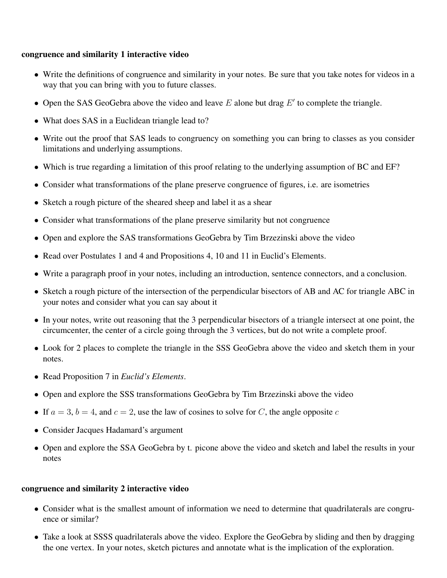#### congruence and similarity 1 interactive video

- Write the definitions of congruence and similarity in your notes. Be sure that you take notes for videos in a way that you can bring with you to future classes.
- Open the SAS GeoGebra above the video and leave  $E$  alone but drag  $E'$  to complete the triangle.
- What does SAS in a Euclidean triangle lead to?
- Write out the proof that SAS leads to congruency on something you can bring to classes as you consider limitations and underlying assumptions.
- Which is true regarding a limitation of this proof relating to the underlying assumption of BC and EF?
- Consider what transformations of the plane preserve congruence of figures, i.e. are isometries
- Sketch a rough picture of the sheared sheep and label it as a shear
- Consider what transformations of the plane preserve similarity but not congruence
- Open and explore the SAS transformations GeoGebra by Tim Brzezinski above the video
- Read over Postulates 1 and 4 and Propositions 4, 10 and 11 in Euclid's Elements.
- Write a paragraph proof in your notes, including an introduction, sentence connectors, and a conclusion.
- Sketch a rough picture of the intersection of the perpendicular bisectors of AB and AC for triangle ABC in your notes and consider what you can say about it
- In your notes, write out reasoning that the 3 perpendicular bisectors of a triangle intersect at one point, the circumcenter, the center of a circle going through the 3 vertices, but do not write a complete proof.
- Look for 2 places to complete the triangle in the SSS GeoGebra above the video and sketch them in your notes.
- Read Proposition 7 in *Euclid's Elements*.
- Open and explore the SSS transformations GeoGebra by Tim Brzezinski above the video
- If  $a = 3$ ,  $b = 4$ , and  $c = 2$ , use the law of cosines to solve for C, the angle opposite c
- Consider Jacques Hadamard's argument
- Open and explore the SSA GeoGebra by t. picone above the video and sketch and label the results in your notes

#### congruence and similarity 2 interactive video

- Consider what is the smallest amount of information we need to determine that quadrilaterals are congruence or similar?
- Take a look at SSSS quadrilaterals above the video. Explore the GeoGebra by sliding and then by dragging the one vertex. In your notes, sketch pictures and annotate what is the implication of the exploration.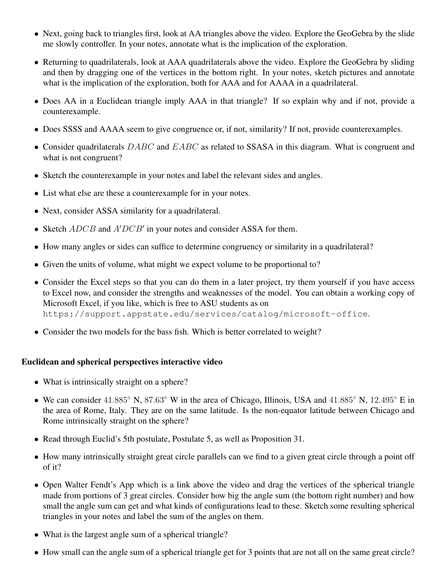- Next, going back to triangles first, look at AA triangles above the video. Explore the GeoGebra by the slide me slowly controller. In your notes, annotate what is the implication of the exploration.
- Returning to quadrilaterals, look at AAA quadrilaterals above the video. Explore the GeoGebra by sliding and then by dragging one of the vertices in the bottom right. In your notes, sketch pictures and annotate what is the implication of the exploration, both for AAA and for AAAA in a quadrilateral.
- Does AA in a Euclidean triangle imply AAA in that triangle? If so explain why and if not, provide a counterexample.
- Does SSSS and AAAA seem to give congruence or, if not, similarity? If not, provide counterexamples.
- Consider quadrilaterals  $DABC$  and  $EABC$  as related to SSASA in this diagram. What is congruent and what is not congruent?
- Sketch the counterexample in your notes and label the relevant sides and angles.
- List what else are these a counterexample for in your notes.
- Next, consider ASSA similarity for a quadrilateral.
- Sketch  $ADCB$  and  $A'DCB'$  in your notes and consider ASSA for them.
- How many angles or sides can suffice to determine congruency or similarity in a quadrilateral?
- Given the units of volume, what might we expect volume to be proportional to?
- Consider the Excel steps so that you can do them in a later project, try them yourself if you have access to Excel now, and consider the strengths and weaknesses of the model. You can obtain a working copy of Microsoft Excel, if you like, which is free to ASU students as on https://support.appstate.edu/services/catalog/microsoft-office.
- Consider the two models for the bass fish. Which is better correlated to weight?

## Euclidean and spherical perspectives interactive video

- What is intrinsically straight on a sphere?
- We can consider 41.885◦ N, 87.63◦ W in the area of Chicago, Illinois, USA and 41.885◦ N, 12.495◦ E in the area of Rome, Italy. They are on the same latitude. Is the non-equator latitude between Chicago and Rome intrinsically straight on the sphere?
- Read through Euclid's 5th postulate, Postulate 5, as well as Proposition 31.
- How many intrinsically straight great circle parallels can we find to a given great circle through a point off of it?
- Open Walter Fendt's App which is a link above the video and drag the vertices of the spherical triangle made from portions of 3 great circles. Consider how big the angle sum (the bottom right number) and how small the angle sum can get and what kinds of configurations lead to these. Sketch some resulting spherical triangles in your notes and label the sum of the angles on them.
- What is the largest angle sum of a spherical triangle?
- How small can the angle sum of a spherical triangle get for 3 points that are not all on the same great circle?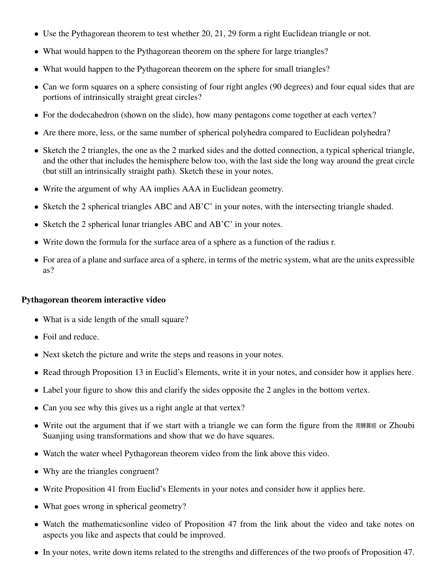- Use the Pythagorean theorem to test whether 20, 21, 29 form a right Euclidean triangle or not.
- What would happen to the Pythagorean theorem on the sphere for large triangles?
- What would happen to the Pythagorean theorem on the sphere for small triangles?
- Can we form squares on a sphere consisting of four right angles (90 degrees) and four equal sides that are portions of intrinsically straight great circles?
- For the dodecahedron (shown on the slide), how many pentagons come together at each vertex?
- Are there more, less, or the same number of spherical polyhedra compared to Euclidean polyhedra?
- Sketch the 2 triangles, the one as the 2 marked sides and the dotted connection, a typical spherical triangle, and the other that includes the hemisphere below too, with the last side the long way around the great circle (but still an intrinsically straight path). Sketch these in your notes.
- Write the argument of why AA implies AAA in Euclidean geometry.
- Sketch the 2 spherical triangles ABC and AB'C' in your notes, with the intersecting triangle shaded.
- Sketch the 2 spherical lunar triangles ABC and AB'C' in your notes.
- Write down the formula for the surface area of a sphere as a function of the radius r.
- For area of a plane and surface area of a sphere, in terms of the metric system, what are the units expressible as?

# Pythagorean theorem interactive video

- What is a side length of the small square?
- Foil and reduce.
- Next sketch the picture and write the steps and reasons in your notes.
- Read through Proposition 13 in Euclid's Elements, write it in your notes, and consider how it applies here.
- Label your figure to show this and clarify the sides opposite the 2 angles in the bottom vertex.
- Can you see why this gives us a right angle at that vertex?
- Write out the argument that if we start with a triangle we can form the figure from the  $\text{R}^*$  are  $\alpha$  Zhoubi Suanjing using transformations and show that we do have squares.
- Watch the water wheel Pythagorean theorem video from the link above this video.
- Why are the triangles congruent?
- Write Proposition 41 from Euclid's Elements in your notes and consider how it applies here.
- What goes wrong in spherical geometry?
- Watch the mathematicsonline video of Proposition 47 from the link about the video and take notes on aspects you like and aspects that could be improved.
- In your notes, write down items related to the strengths and differences of the two proofs of Proposition 47.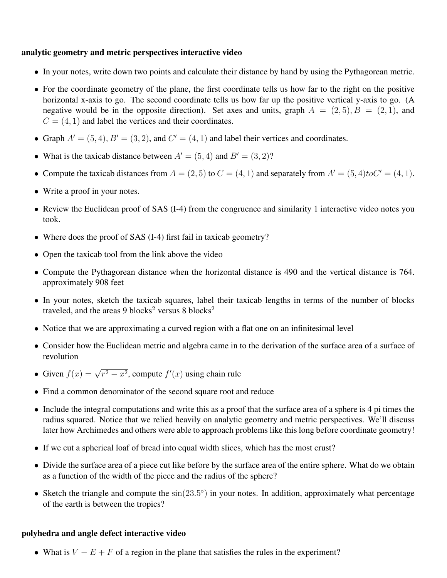## analytic geometry and metric perspectives interactive video

- In your notes, write down two points and calculate their distance by hand by using the Pythagorean metric.
- For the coordinate geometry of the plane, the first coordinate tells us how far to the right on the positive horizontal x-axis to go. The second coordinate tells us how far up the positive vertical y-axis to go. (A negative would be in the opposite direction). Set axes and units, graph  $A = (2, 5), B = (2, 1)$ , and  $C = (4, 1)$  and label the vertices and their coordinates.
- Graph  $A' = (5, 4), B' = (3, 2),$  and  $C' = (4, 1)$  and label their vertices and coordinates.
- What is the taxicab distance between  $A' = (5, 4)$  and  $B' = (3, 2)$ ?
- Compute the taxicab distances from  $A = (2, 5)$  to  $C = (4, 1)$  and separately from  $A' = (5, 4)$ toC' = (4, 1).
- Write a proof in your notes.
- Review the Euclidean proof of SAS (I-4) from the congruence and similarity 1 interactive video notes you took.
- Where does the proof of SAS (I-4) first fail in taxicab geometry?
- Open the taxicab tool from the link above the video
- Compute the Pythagorean distance when the horizontal distance is 490 and the vertical distance is 764. approximately 908 feet
- In your notes, sketch the taxicab squares, label their taxicab lengths in terms of the number of blocks traveled, and the areas 9 blocks<sup>2</sup> versus 8 blocks<sup>2</sup>
- Notice that we are approximating a curved region with a flat one on an infinitesimal level
- Consider how the Euclidean metric and algebra came in to the derivation of the surface area of a surface of revolution
- Given  $f(x) = \sqrt{r^2 x^2}$ , compute  $f'(x)$  using chain rule
- Find a common denominator of the second square root and reduce
- Include the integral computations and write this as a proof that the surface area of a sphere is 4 pi times the radius squared. Notice that we relied heavily on analytic geometry and metric perspectives. We'll discuss later how Archimedes and others were able to approach problems like this long before coordinate geometry!
- If we cut a spherical loaf of bread into equal width slices, which has the most crust?
- Divide the surface area of a piece cut like before by the surface area of the entire sphere. What do we obtain as a function of the width of the piece and the radius of the sphere?
- Sketch the triangle and compute the  $sin(23.5^{\circ})$  in your notes. In addition, approximately what percentage of the earth is between the tropics?

#### polyhedra and angle defect interactive video

• What is  $V - E + F$  of a region in the plane that satisfies the rules in the experiment?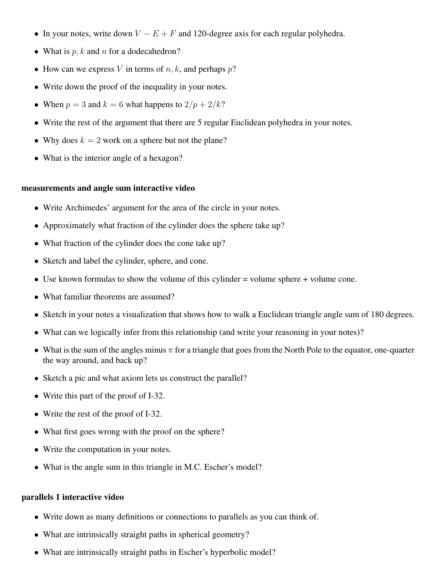- In your notes, write down  $V E + F$  and 120-degree axis for each regular polyhedra.
- What is  $p, k$  and n for a dodecahedron?
- How can we express V in terms of  $n, k$ , and perhaps  $p$ ?
- Write down the proof of the inequality in your notes.
- When  $p = 3$  and  $k = 6$  what happens to  $2/p + 2/k$ ?
- Write the rest of the argument that there are 5 regular Euclidean polyhedra in your notes.
- Why does  $k = 2$  work on a sphere but not the plane?
- What is the interior angle of a hexagon?

#### measurements and angle sum interactive video

- Write Archimedes' argument for the area of the circle in your notes.
- Approximately what fraction of the cylinder does the sphere take up?
- What fraction of the cylinder does the cone take up?
- Sketch and label the cylinder, sphere, and cone.
- Use known formulas to show the volume of this cylinder = volume sphere + volume cone.
- What familiar theorems are assumed?
- Sketch in your notes a visualization that shows how to walk a Euclidean triangle angle sum of 180 degrees.
- What can we logically infer from this relationship (and write your reasoning in your notes)?
- What is the sum of the angles minus  $\pi$  for a triangle that goes from the North Pole to the equator, one-quarter the way around, and back up?
- Sketch a pic and what axiom lets us construct the parallel?
- Write this part of the proof of I-32.
- Write the rest of the proof of I-32.
- What first goes wrong with the proof on the sphere?
- Write the computation in your notes.
- What is the angle sum in this triangle in M.C. Escher's model?

#### parallels 1 interactive video

- Write down as many definitions or connections to parallels as you can think of.
- What are intrinsically straight paths in spherical geometry?
- What are intrinsically straight paths in Escher's hyperbolic model?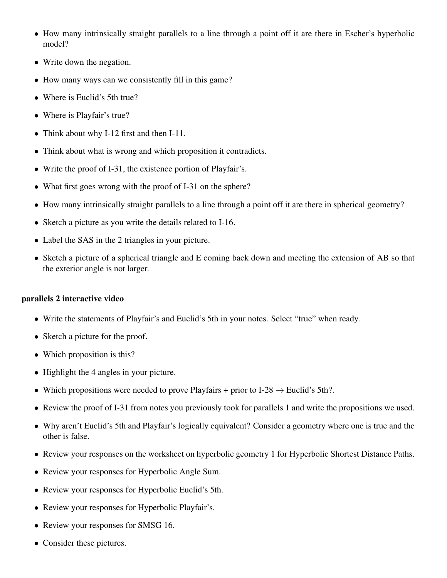- How many intrinsically straight parallels to a line through a point off it are there in Escher's hyperbolic model?
- Write down the negation.
- How many ways can we consistently fill in this game?
- Where is Euclid's 5th true?
- Where is Playfair's true?
- Think about why I-12 first and then I-11.
- Think about what is wrong and which proposition it contradicts.
- Write the proof of I-31, the existence portion of Playfair's.
- What first goes wrong with the proof of I-31 on the sphere?
- How many intrinsically straight parallels to a line through a point off it are there in spherical geometry?
- Sketch a picture as you write the details related to I-16.
- Label the SAS in the 2 triangles in your picture.
- Sketch a picture of a spherical triangle and E coming back down and meeting the extension of AB so that the exterior angle is not larger.

## parallels 2 interactive video

- Write the statements of Playfair's and Euclid's 5th in your notes. Select "true" when ready.
- Sketch a picture for the proof.
- Which proposition is this?
- Highlight the 4 angles in your picture.
- Which propositions were needed to prove Playfairs + prior to I-28  $\rightarrow$  Euclid's 5th?.
- Review the proof of I-31 from notes you previously took for parallels 1 and write the propositions we used.
- Why aren't Euclid's 5th and Playfair's logically equivalent? Consider a geometry where one is true and the other is false.
- Review your responses on the worksheet on hyperbolic geometry 1 for Hyperbolic Shortest Distance Paths.
- Review your responses for Hyperbolic Angle Sum.
- Review your responses for Hyperbolic Euclid's 5th.
- Review your responses for Hyperbolic Playfair's.
- Review your responses for SMSG 16.
- Consider these pictures.